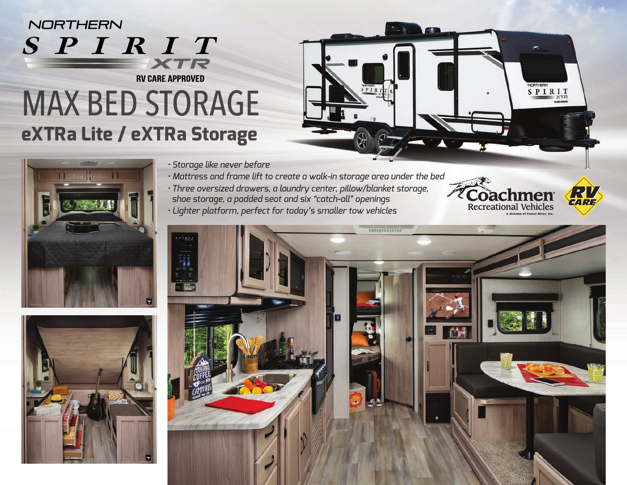## NORTHERN SPIRIT XTR **RV CARE APPROVED**

# MAX BED STORAGE **eXTRa Lite / eXTRa Storage**







*• Storage like never before*

- *Mattress and frame lift to create a walk-in storage area under the bed*
- *• Three oversized drawers, a laundry center, pillow/blanket storage, shoe storage, a padded seat and six "catch-all" openings*